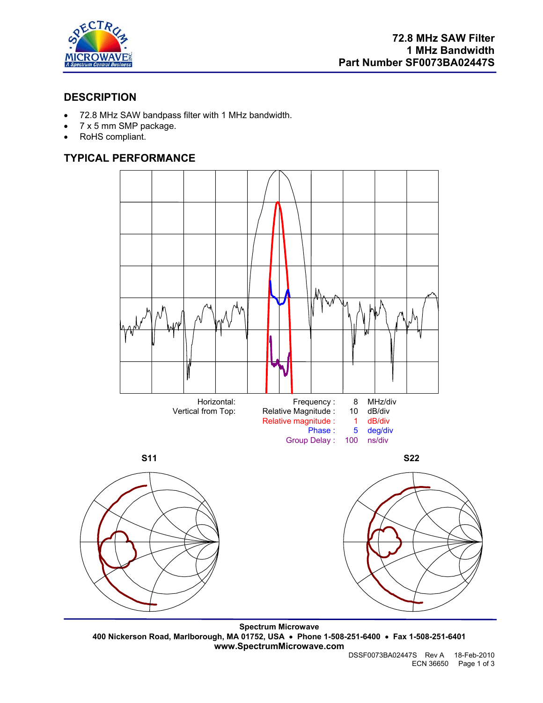

# **DESCRIPTION**

- 72.8 MHz SAW bandpass filter with 1 MHz bandwidth.
- 7 x 5 mm SMP package.
- RoHS compliant.

# **TYPICAL PERFORMANCE**



**Spectrum Microwave 400 Nickerson Road, Marlborough, MA 01752, USA** • **Phone 1-508-251-6400** • **Fax 1-508-251-6401 www.SpectrumMicrowave.com**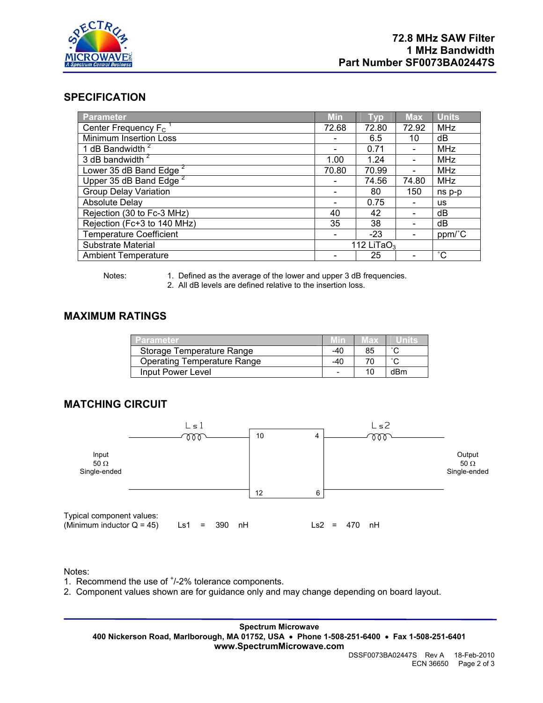

### **SPECIFICATION**

| Parameter                           | <b>Min</b>     | Typ   | <b>Max</b>                   | <b>Units</b>      |
|-------------------------------------|----------------|-------|------------------------------|-------------------|
| Center Frequency $F_c$ <sup>1</sup> | 72.68          | 72.80 | 72.92                        | <b>MHz</b>        |
| <b>Minimum Insertion Loss</b>       |                | 6.5   | 10                           | dB                |
| 1 dB Bandwidth <sup>2</sup>         |                | 0.71  | $\qquad \qquad \blacksquare$ | <b>MHz</b>        |
| 3 dB bandwidth <sup>2</sup>         | 1.00           | 1.24  | $\qquad \qquad \blacksquare$ | <b>MHz</b>        |
| Lower 35 dB Band Edge <sup>2</sup>  | 70.80          | 70.99 | $\overline{\phantom{a}}$     | <b>MHz</b>        |
| Upper 35 dB Band Edge <sup>2</sup>  |                | 74.56 | 74.80                        | <b>MHz</b>        |
| <b>Group Delay Variation</b>        |                | 80    | 150                          | ns p-p            |
| Absolute Delay                      |                | 0.75  | $\qquad \qquad \blacksquare$ | <b>us</b>         |
| Rejection (30 to Fc-3 MHz)          | 40             | 42    | $\overline{\phantom{a}}$     | dB                |
| Rejection (Fc+3 to 140 MHz)         | 35             | 38    |                              | dB                |
| <b>Temperature Coefficient</b>      |                | $-23$ |                              | ppm/°C            |
| Substrate Material                  | 112 LiTa $O_3$ |       |                              |                   |
| <b>Ambient Temperature</b>          |                | 25    | $\qquad \qquad \blacksquare$ | $^{\circ}{\rm C}$ |

Notes: 1. Defined as the average of the lower and upper 3 dB frequencies.

2. All dB levels are defined relative to the insertion loss.

## **MAXIMUM RATINGS**

| <b>Parameter</b>                   | .Min4 | Max |        |
|------------------------------------|-------|-----|--------|
| Storage Temperature Range          | -40   | 85  | $\sim$ |
| <b>Operating Temperature Range</b> | -40   |     | $\sim$ |
| Input Power Level                  |       | 10  | dBm    |

### **MATCHING CIRCUIT**



Notes:

- 1. Recommend the use of  $<sup>+</sup>/-2%$  tolerance components.</sup>
- 2. Component values shown are for guidance only and may change depending on board layout.

**Spectrum Microwave 400 Nickerson Road, Marlborough, MA 01752, USA** • **Phone 1-508-251-6400** • **Fax 1-508-251-6401 www.SpectrumMicrowave.com**